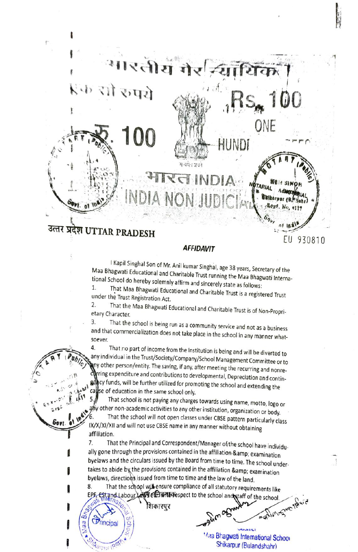

## **AFFIDAVIT**

I Kapil Singhal Son of Mr. Anil kumar Singhal, age 38 years, Secretary of the<br>Maa Bhagwati Educational and Charitable Trust running the Maa Bhagwati Interna-<br>tional School do hereby solemnly affirm and sincerely state as f

2. That the Maa Bhagwati Educational and Charitable Trust is of Non-Propri-<br>etary Character.<br>3. That the school is being run as a community service and not as a business 3.

and that commercialization does not take place in the school in any manner what-

soever.<br>4. That no part of income from the Institution is being and will be diverted to any individual in the Trust/Society/Company/School Management Committee or to<br>Any other person/entity. The saving, if any, after meeting the recurring and nonre-<br>Arring expenditure and contributions to developmental, Depre gelicy funds, will be further utilized for promoting the school and extending the callse of education in the same school only. 4. **Philippine Association** 

That school is not paying any charges towards using name, motto, logo or thy other non-academic activities to any other institution, organization or body. That the school will not open classes under CBSE pattern particularly class<br>IX/X/XI/XII and will not use CBSE name in any manner without obtaining<br>affiliation.<br>That the Principal and Correspondent/Manager of the school ha

Principal

Ø es

Ramur IPC

.

ally gone through the provisions contained in the affiliation & amp; examination<br>byelaws and the circulars issued by the Board from time to time. The school undertakes to abide by the provisions contained in the affiliation & amp; examination<br>bvelaws, directions issued from time to time and the law of the land. 7

That the school will ensure compliance of all statutory requirements like<br>
Tand Labour Law Etcli with the sepect to the school and staff of the school.<br>
Tand Labour Law Etcli with the sepect to the school and staff of the EPE EST and Labour Law ELET WITH research to the school and staff of the school. 8.

शिकारपुर

**CONTROL** 

Maa Bhagwati International School Shikarpur (Bulandshahr)